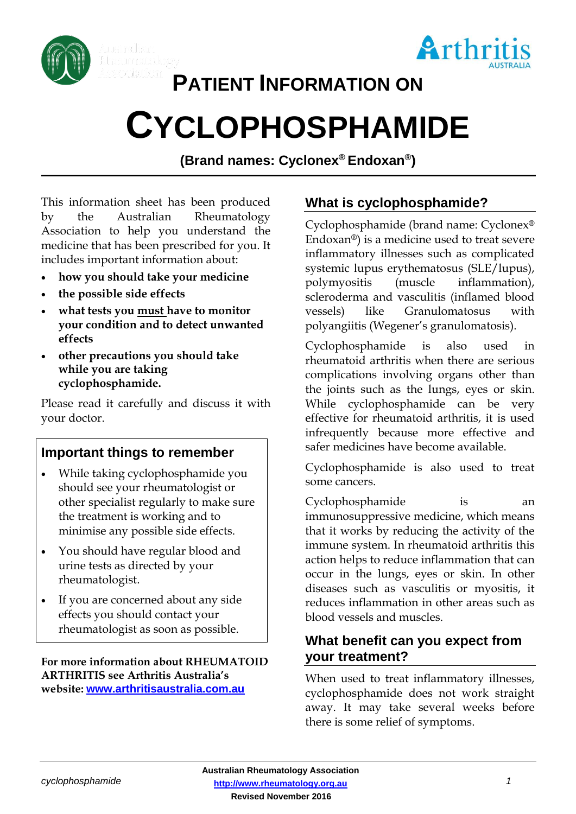



# **PATIENT INFORMATION ON**

# **CYCLOPHOSPHAMIDE**

**(Brand names: Cyclonex® Endoxan® )**

This information sheet has been produced by the Australian Rheumatology Association to help you understand the medicine that has been prescribed for you. It includes important information about:

- **how you should take your medicine**
- **the possible side effects**
- **what tests you must have to monitor your condition and to detect unwanted effects**
- **other precautions you should take while you are taking cyclophosphamide.**

Please read it carefully and discuss it with your doctor.

# **Important things to remember**

- While taking cyclophosphamide you should see your rheumatologist or other specialist regularly to make sure the treatment is working and to minimise any possible side effects.
- You should have regular blood and urine tests as directed by your rheumatologist.
- If you are concerned about any side effects you should contact your rheumatologist as soon as possible.

#### **For more information about RHEUMATOID ARTHRITIS see Arthritis Australia's website: [www.arthritisaustralia.com.au](http://www.arthritisaustralia.com.au/)**

# **What is cyclophosphamide?**

Cyclophosphamide (brand name: Cyclonex® Endoxan®) is a medicine used to treat severe inflammatory illnesses such as complicated systemic lupus erythematosus (SLE/lupus), polymyositis (muscle inflammation), scleroderma and vasculitis (inflamed blood vessels) like Granulomatosus with polyangiitis (Wegener's granulomatosis).

Cyclophosphamide is also used in rheumatoid arthritis when there are serious complications involving organs other than the joints such as the lungs, eyes or skin. While cyclophosphamide can be very effective for rheumatoid arthritis, it is used infrequently because more effective and safer medicines have become available.

Cyclophosphamide is also used to treat some cancers.

Cyclophosphamide is an immunosuppressive medicine, which means that it works by reducing the activity of the immune system. In rheumatoid arthritis this action helps to reduce inflammation that can occur in the lungs, eyes or skin. In other diseases such as vasculitis or myositis, it reduces inflammation in other areas such as blood vessels and muscles.

# **What benefit can you expect from your treatment?**

When used to treat inflammatory illnesses, cyclophosphamide does not work straight away. It may take several weeks before there is some relief of symptoms.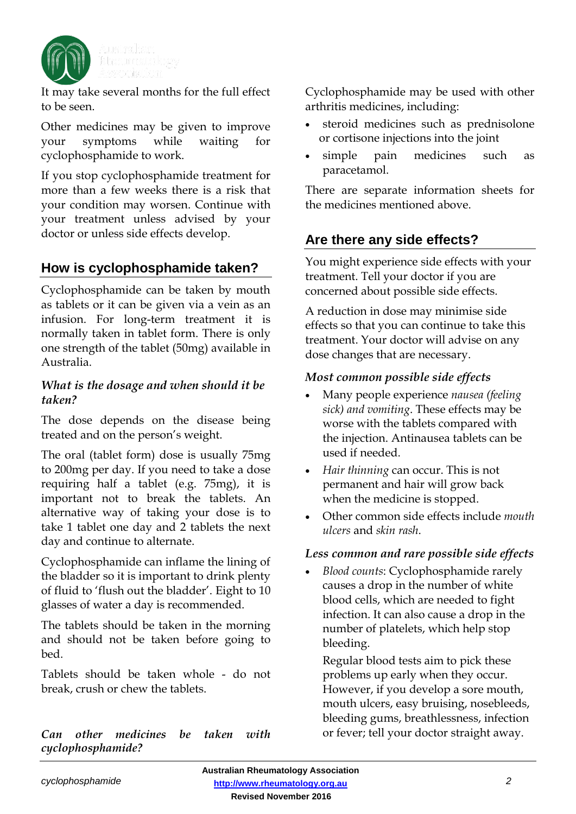

It may take several months for the full effect to be seen.

Other medicines may be given to improve your symptoms while waiting for cyclophosphamide to work.

If you stop cyclophosphamide treatment for more than a few weeks there is a risk that your condition may worsen. Continue with your treatment unless advised by your doctor or unless side effects develop.

# **How is cyclophosphamide taken?**

Cyclophosphamide can be taken by mouth as tablets or it can be given via a vein as an infusion. For long-term treatment it is normally taken in tablet form. There is only one strength of the tablet (50mg) available in Australia.

#### *What is the dosage and when should it be taken?*

The dose depends on the disease being treated and on the person's weight.

The oral (tablet form) dose is usually 75mg to 200mg per day. If you need to take a dose requiring half a tablet (e.g. 75mg), it is important not to break the tablets. An alternative way of taking your dose is to take 1 tablet one day and 2 tablets the next day and continue to alternate.

Cyclophosphamide can inflame the lining of the bladder so it is important to drink plenty of fluid to 'flush out the bladder'. Eight to 10 glasses of water a day is recommended.

The tablets should be taken in the morning and should not be taken before going to bed.

Tablets should be taken whole - do not break, crush or chew the tablets.

*Can other medicines be taken with cyclophosphamide?*

Cyclophosphamide may be used with other arthritis medicines, including:

- steroid medicines such as prednisolone or cortisone injections into the joint
- simple pain medicines such as paracetamol.

There are separate information sheets for the medicines mentioned above.

# **Are there any side effects?**

You might experience side effects with your treatment. Tell your doctor if you are concerned about possible side effects.

A reduction in dose may minimise side effects so that you can continue to take this treatment. Your doctor will advise on any dose changes that are necessary.

#### *Most common possible side effects*

- Many people experience *nausea (feeling sick) and vomiting*. These effects may be worse with the tablets compared with the injection. Antinausea tablets can be used if needed.
- *Hair thinning* can occur. This is not permanent and hair will grow back when the medicine is stopped.
- Other common side effects include *mouth ulcers* and *skin rash*.

#### *Less common and rare possible side effects*

• *Blood counts*: Cyclophosphamide rarely causes a drop in the number of white blood cells, which are needed to fight infection. It can also cause a drop in the number of platelets, which help stop bleeding.

Regular blood tests aim to pick these problems up early when they occur. However, if you develop a sore mouth, mouth ulcers, easy bruising, nosebleeds, bleeding gums, breathlessness, infection or fever; tell your doctor straight away.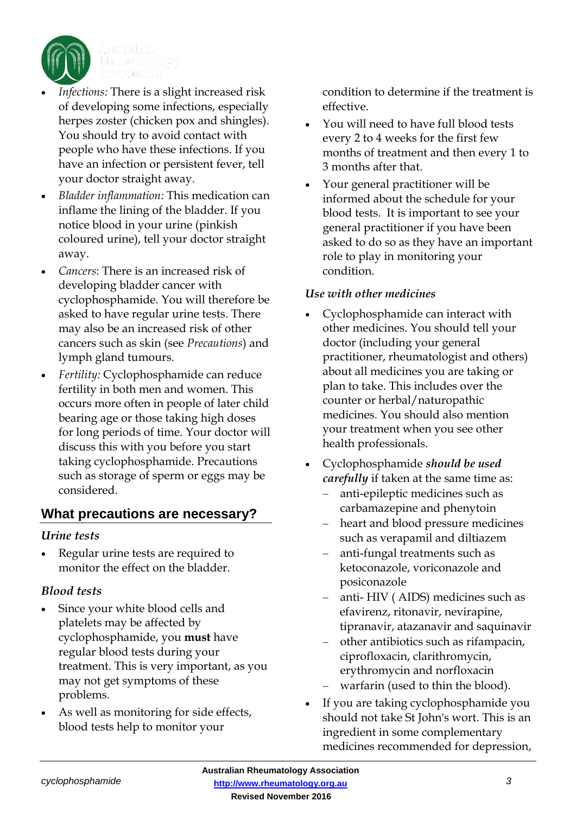

- Infections: There is a slight increased risk of developing some infections, especially herpes zoster (chicken pox and shingles). You should try to avoid contact with people who have these infections. If you have an infection or persistent fever, tell your doctor straight away.
- *Bladder inflammation:* This medication can inflame the lining of the bladder. If you notice blood in your urine (pinkish coloured urine), tell your doctor straight away.
- *Cancers*: There is an increased risk of developing bladder cancer with cyclophosphamide. You will therefore be asked to have regular urine tests. There may also be an increased risk of other cancers such as skin (see *Precautions*) and lymph gland tumours.
- *Fertility:* Cyclophosphamide can reduce fertility in both men and women. This occurs more often in people of later child bearing age or those taking high doses for long periods of time. Your doctor will discuss this with you before you start taking cyclophosphamide. Precautions such as storage of sperm or eggs may be considered.

# **What precautions are necessary?**

#### *Urine tests*

• Regular urine tests are required to monitor the effect on the bladder.

# *Blood tests*

- Since your white blood cells and platelets may be affected by cyclophosphamide, you **must** have regular blood tests during your treatment. This is very important, as you may not get symptoms of these problems.
- As well as monitoring for side effects, blood tests help to monitor your

condition to determine if the treatment is effective.

- You will need to have full blood tests every 2 to 4 weeks for the first few months of treatment and then every 1 to 3 months after that.
- Your general practitioner will be informed about the schedule for your blood tests. It is important to see your general practitioner if you have been asked to do so as they have an important role to play in monitoring your condition.

#### *Use with other medicines*

- Cyclophosphamide can interact with other medicines. You should tell your doctor (including your general practitioner, rheumatologist and others) about all medicines you are taking or plan to take. This includes over the counter or herbal/naturopathic medicines. You should also mention your treatment when you see other health professionals.
- Cyclophosphamide *should be used carefully* if taken at the same time as:
	- anti-epileptic medicines such as carbamazepine and phenytoin
	- heart and blood pressure medicines such as verapamil and diltiazem
	- anti-fungal treatments such as ketoconazole, voriconazole and posiconazole
	- anti- HIV ( AIDS) medicines such as efavirenz, ritonavir, nevirapine, tipranavir, atazanavir and saquinavir
	- other antibiotics such as rifampacin, ciprofloxacin, clarithromycin, erythromycin and norfloxacin
	- warfarin (used to thin the blood).
- If you are taking cyclophosphamide you should not take St John's wort. This is an ingredient in some complementary medicines recommended for depression,